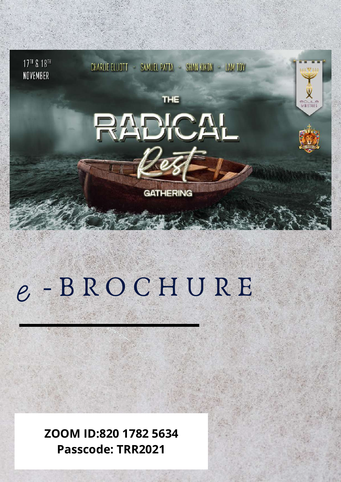

# e - B R O C H U R E

**ZOOM ID:820 1782 5634 Passcode: TRR2021**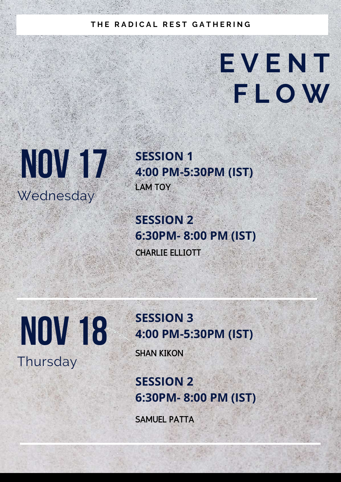## **T H E R A D I C A L R E S T G A T H E R I N G**

## **E V E N T F L O W**



**SESSION 1 4:00 PM-5:30PM (IST)** LAM TOY

**SESSION 2 6:30PM- 8:00 PM (IST)** CHARLIE ELLIOTT

**NOV 18 Thursday** 

## **SESSION 3 4:00 PM-5:30PM (IST)**

SHAN KIKON

**SESSION 2 6:30PM- 8:00 PM (IST)**

SAMUEL PATTA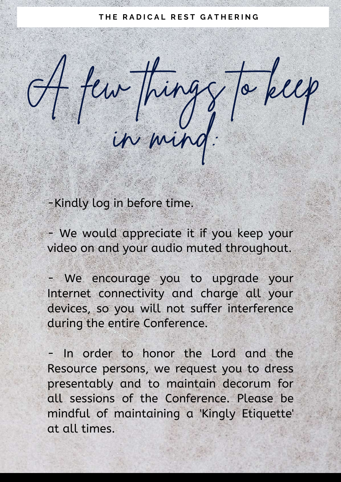#### $H$  **F H E RADICAL REST GATHERING**

A few things to keep

in mind:

-Kindly log in before time.

- We would appreciate it if you keep your video on and your audio muted throughout.

- We encourage you to upgrade your Internet connectivity and charge all your devices, so you will not suffer interference during the entire Conference.

In order to honor the Lord and the Resource persons, we request you to dress presentably and to maintain decorum for all sessions of the Conference. Please be mindful of maintaining a 'Kingly Etiquette' at all times.